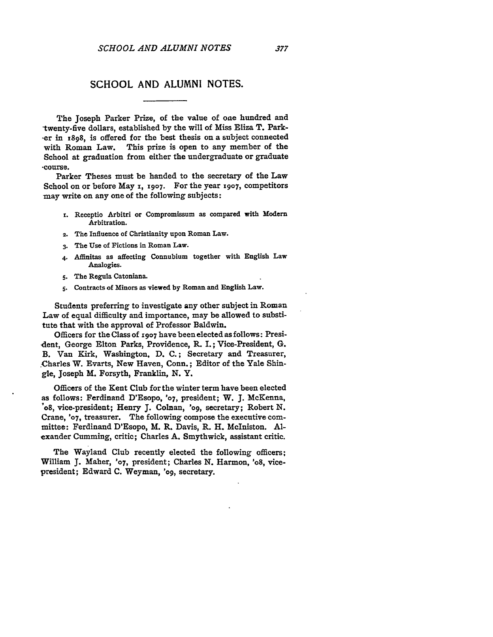## **SCHOOL AND ALUMNI NOTES.**

The Joseph Parker Prize, of the value of one hundred and twenty-five dollars, established by the will of Miss Eliza T. Park--er in **x898,** is offered for the best thesis on a subject connected with Roman Law. This prize is open to any member of the School at graduation from either the undergraduate or graduate -course.

Parker Theses must be handed to the secretary of the Law School on or before May **i, 1907.** For the year **1907,** competitors may write on any one of the following subjects:

- **x.** Receptio Arbitri or Compromissum as compared with Modern Arbitration.
- **2.** The Influence of Christianity upon Roman Law.
- **3.** The Use of Fictions in Roman Law.
- **4.** Affinitas as affecting Connubium together with English Law Analogies.
- **5.** The Regula Catoniana.
- **S.** Contracts of Minors as viewed **by** Roman and English Law.

Students preferring to investigate any other subject in Roman Law of equal difficulty and importance, may be allowed to substitute that with the approval of Professor Baldwin.

Officers for the Class of **1907** have been elected as follows: President, George Elton Parks, Providence, R. I.; Vice-President, G. B. Van Kirk, Washington, **D. C.;** Secretary and Treasurer, .Charles W. Evarts, New Haven, Conn.; Editor of the Yale Shingle, Joseph M. Forsyth, Franklin, **N.** Y.

Officers of the Kent Club for the winter term have been elected as follows: Ferdinand D'Esopo, **'07,** president; W. **J.** McKenna, **"o8,** vice-president; Henry **J.** Colnan, **'o9,** secretary; Robert **N.** Crane, **'07,** treasurer. The following compose the executive committee: Ferdinand D'Esopo, M. R. Davis, R. H. McIniston. **Al**exander Cumming, critic; Charles **A.** Smythwick, assistant critic.

The Wayland Club recently elected the following officers; William **J.** Maher, **'07,** president; Charles **N.** Harmon, 'o8, vicepresident; Edward **C.** Weyman, 'og, secretary.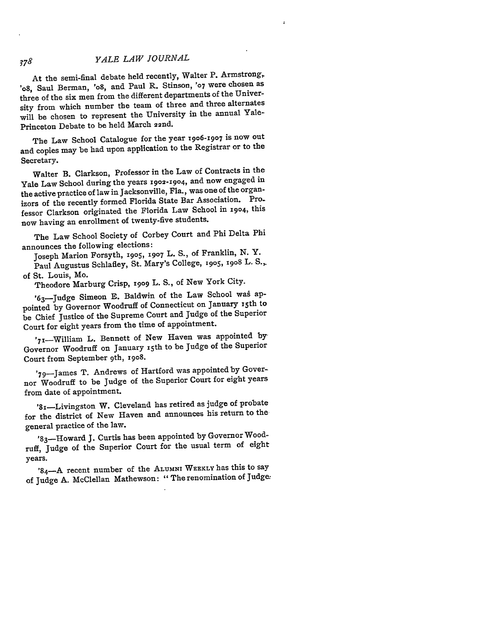## *YALE LAW JOURNAL*

At the semi-final debate held recently, Walter P. Armstrong, 'o8, Saul Berman, 'o8, and Paul R. Stinson, **'07** were chosen as three of the six men from the different departments of the University from which number the team of three and three alternates will be chosen to represent the University in the annual Yale-Princeton Debate to be held March 22nd.

The Law School Catalogue for the year 1906-1907 is now out and copies may be had upon application to the Registrar or to the Secretary.

Walter B. Clarkson, Professor in the Law of Contracts in the Yale Law School during the years **1902-1904,** and now engaged in the active practice of law in Jacksonville, Fla., was one of the organizors of the recently formed Florida State Bar Association. Professor Clarkson originated the Florida Law School in **1904,** this now having an enrollment of twenty-five students.

The Law School Society of Corbey Court and Phi Delta Phi announces the following elections:

Joseph Marion Forsyth, **I905, 1907** L. **S.,** of Franklin, **N.** Y.

Paul Augustus Schlafley, St. Mary's College, **1905,** 19o8 L. **S.,** of St. Louis, Mo.

Theodore Marburg Crisp, **i9o9** L. **S.,** of New York City.

'63-Judge Simeon E. Baldwin of the Law School was appointed by Governor Woodruff of Connecticut on January x5th to be Chief Justice of the Supreme Court and Judge of the Superior Court for eight years from the time of appointment.

'71-William L. Bennett of New Haven was appointed by Governor Woodruff on January 15th to be Judge of the Superior Court from September 9th, 1908.

'70-James T. Andrews of Hartford was appointed by Governor Woodruff to be Judge of the Superior Court for eight years from date of appointment.

'81-Livingston W. Cleveland has retired as judge of probate for the district of New Haven and announces his return to the general practice of the law.

'83-Howard J. Curtis has been appointed by Governor Woodruff, Judge of the Superior Court for the usual term of eight years.

'84 -A recent number of the ALUMNI WEEKLY has this to say of Judge **A.** McClellan Mathewson: "The renomination of Judge

 $378$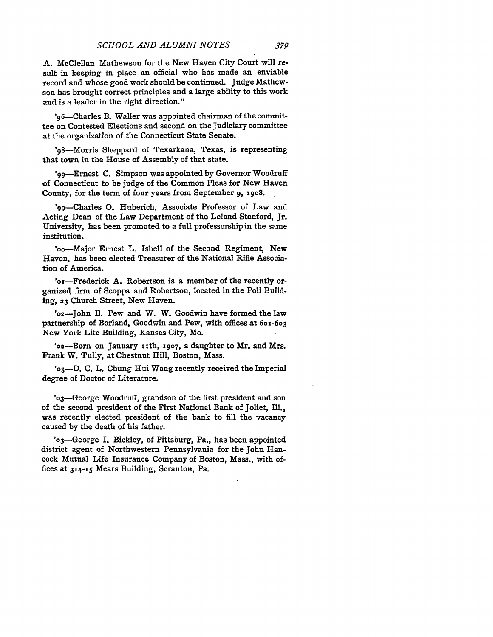**A.** McClellan Mathewson for the New Haven City Court will result in keeping in place an official who has made an enviable record and whose good work should be continued. Judge Mathewson has brought correct principles and a large ability to this work and is a leader in the right direction."

' 96-Charles B. Waller was appointed chairman of the committee on Contested Elections and second on the Judiciary committee at the organization of the Connecticut State Senate.

' 98-Morris Sheppard of Texarkana, Texas, is representing that town in the House of Assembly of that state.

'99-Ernest C. Simpson was appointed by Governor Woodruff of Connecticut to be judge of the Common Pleas for New Haven County, for the term of four years from September **9,** x9o8.

'99-Charles **0.** Huberich, Associate Professor of Law and Acting Dean of the Law Department of the Leland Stanford, Jr. University, has been promoted to a full professorship in the same institution.

'oo-Major Ernest L. Isbell of the Second Regiment, New Haven, has been elected Treasurer of the National Rifle Association of America.

'or-Frederick A. Robertson is a member of the recently organized firm of Scoppa and Robertson, located in the Poli Building, **23** Church Street, New Haven.

'02-John B. Pew and W. W. Goodwin have formed the law partnership of Borland, Goodwin and Pew, with offices at **6ox-603** New York Life Building, Kansas City, Mo.

'o2-Born on January xith, **x9o7,** a daughter to Mr. and Mrs. Frank W. Tully, at Chestnut Hill, Boston, Mass.

**'o3-D.** C. L. Chung Hui Wang recently received the Imperial degree of Doctor of Literature.

'03-George Woodruff, grandson of the first president and son of the second president of the First National Bank of Joliet, Ill., was recently elected president of the bank to fill the vacancy caused by the death of his father.

'03-George **I.** Bickley, of Pittsburg, Pa., has been appointed district agent of Northwestern Pennsylvania for the John Hancock Mutual Life Insurance Company of Boston, Mass., with offices at **314-15** Mears Building, Scranton, Pa.